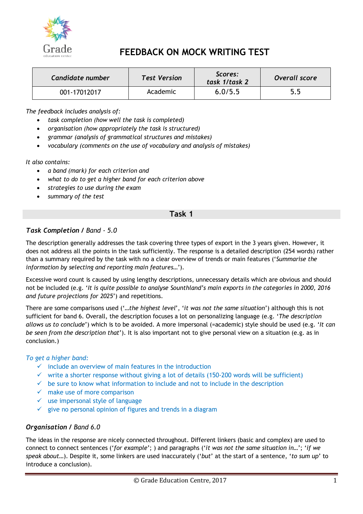

# **FEEDBACK ON MOCK WRITING TEST**

| Candidate number | <b>Test Version</b> | Scores:<br>task 1/task 2 | Overall score |
|------------------|---------------------|--------------------------|---------------|
| 001-17012017     | Academic            | 6.0/5.5                  | 5.5           |

*The feedback includes analysis of:*

- *task completion (how well the task is completed)*
- *organisation (how appropriately the task is structured)*
- *grammar (analysis of grammatical structures and mistakes)*
- *vocabulary (comments on the use of vocabulary and analysis of mistakes)*

*It also contains:*

- *a band (mark) for each criterion and*
- *what to do to get a higher band for each criterion above*
- *strategies to use during the exam*
- *summary of the test*

#### **Task 1**

# *Task Completion / Band - 5.0*

The description generally addresses the task covering three types of export in the 3 years given. However, it does not address all the points in the task sufficiently. The response is a detailed description (254 words) rather than a summary required by the task with no a clear overview of trends or main features ('*Summarise the information by selecting and reporting main features*…').

Excessive word count is caused by using lengthy descriptions, unnecessary details which are obvious and should not be included (e.g. '*It is quite possible to analyse Sounthland's main exports in the categories in 2000, 2016 and future projections for 2025*') and repetitions.

There are some comparisons used ('…*the highest level*', '*it was not the same situation*') although this is not sufficient for band 6. Overall, the description focuses a lot on personalizing language (e.g. '*The description allows us to conclude*') which is to be avoided. A more impersonal (=academic) style should be used (e.g. '*It can be seen from the description that*'). It is also important not to give personal view on a situation (e.g. as in conclusion.)

#### *To get a higher band:*

- $\checkmark$  include an overview of main features in the introduction
- $\checkmark$  write a shorter response without giving a lot of details (150-200 words will be sufficient)
- $\checkmark$  be sure to know what information to include and not to include in the description
- $\checkmark$  make use of more comparison
- $\checkmark$  use impersonal style of language
- $\checkmark$  give no personal opinion of figures and trends in a diagram

# *Organisation / Band 6.0*

The ideas in the response are nicely connected throughout. Different linkers (basic and complex) are used to connect to connect sentences ('*for example*'; ) and paragraphs ('*it was not the same situation in*…'; '*if we speak about*…). Despite it, some linkers are used inaccurately ('*but*' at the start of a sentence, '*to sum up*' to introduce a conclusion).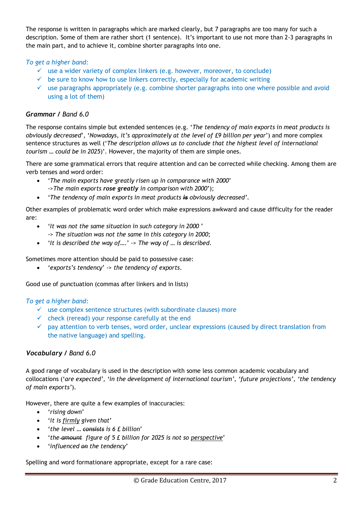The response is written in paragraphs which are marked clearly, but 7 paragraphs are too many for such a description. Some of them are rather short (1 sentence). It's important to use not more than 2-3 paragraphs in the main part, and to achieve it, combine shorter paragraphs into one.

#### *To get a higher band:*

- $\checkmark$  use a wider variety of complex linkers (e.g. however, moreover, to conclude)
- $\checkmark$  be sure to know how to use linkers correctly, especially for academic writing
- $\checkmark$  use paragraphs appropriately (e.g. combine shorter paragraphs into one where possible and avoid using a lot of them)

#### *Grammar / Band 6.0*

The response contains simple but extended sentences (e.g. '*The tendency of main exports in meat products is obviously decreased*', '*Nowadays, it's approximately at the level of £9 billion per year*') and more complex sentence structures as well ('*The description allows us to conclude that the highest level of international tourism … could be in 2025*)'. However, the majority of them are simple ones.

There are some grammatical errors that require attention and can be corrected while checking. Among them are verb tenses and word order:

- '*The main exports have greatly risen up in comparance with 2000*' ->*The main exports rose greatly in comparison with 2000*');
- '*The tendency of main exports in meat products is obviously decreased'*.

Other examples of problematic word order which make expressions awkward and cause difficulty for the reader are:

- '*It was not the same situation in such category in 2000* ' -> *The situation was not the same in this category in 2000*;
- '*It is described the way of*….' -> *The way of … is described*.

Sometimes more attention should be paid to possessive case:

'*exports's tendency*' -> *the tendency of exports*.

Good use of punctuation (commas after linkers and in lists)

#### *To get a higher band:*

- $\checkmark$  use complex sentence structures (with subordinate clauses) more
- $\checkmark$  check (reread) your response carefully at the end
- $\checkmark$  pay attention to verb tenses, word order, unclear expressions (caused by direct translation from the native language) and spelling.

# *Vocabulary / Band 6.0*

A good range of vocabulary is used in the description with some less common academic vocabulary and collocations ('*are expected', 'in the development of international tourism', 'future projections', 'the tendency of main exports'*).

However, there are quite a few examples of inaccuracies:

- '*rising down*'
- '*it is firmly given that*'
- '*the level … consists is 6 £ billion*'
- '*the amount figure of 5 £ billion for 2025 is not so perspective*'
- '*influenced on the tendency*'

Spelling and word formationare appropriate, except for a rare case: